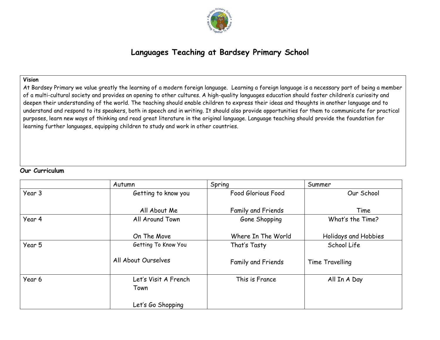

# **Languages Teaching at Bardsey Primary School**

# **Vision**

At Bardsey Primary we value greatly the learning of a modern foreign language. Learning a foreign language is a necessary part of being a member of a multi-cultural society and provides an opening to other cultures. A high-quality languages education should foster children's curiosity and deepen their understanding of the world. The teaching should enable children to express their ideas and thoughts in another language and to understand and respond to its speakers, both in speech and in writing. It should also provide opportunities for them to communicate for practical purposes, learn new ways of thinking and read great literature in the original language. Language teaching should provide the foundation for learning further languages, equipping children to study and work in other countries.

### **Our Curriculum**

|        | Autumn                       | Spring                    | Summer               |
|--------|------------------------------|---------------------------|----------------------|
| Year 3 | Getting to know you          | Food Glorious Food        | Our School           |
|        | All About Me                 | <b>Family and Friends</b> | Time                 |
| Year 4 | All Around Town              | Gone Shopping             | What's the Time?     |
|        | On The Move                  | Where In The World        | Holidays and Hobbies |
| Year 5 | Getting To Know You          | That's Tasty              | School Life          |
|        | All About Ourselves          | Family and Friends        | Time Travelling      |
| Year 6 | Let's Visit A French<br>Town | This is France            | All In A Day         |
|        | Let's Go Shopping            |                           |                      |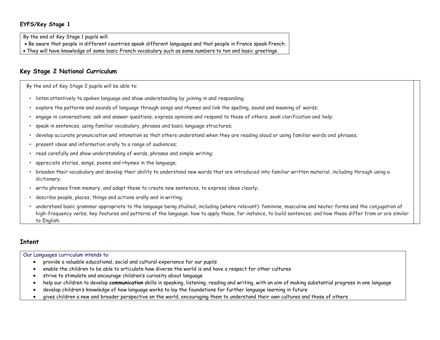## **EYFS/Key Stage 1**

By the end of Key Stage 1 pupils will:

- Be aware that people in different countries speak different languages and that people in France speak French.
- They will have knowledge of some basic French vocabulary such as some numbers to ten and basic greetings.

# **Key Stage 2 National Curriculum**

By the end of Key Stage 2 pupils will be able to:

- listen attentively to spoken language and show understanding by joining in and responding;
- explore the patterns and sounds of language through songs and rhymes and link the spelling, sound and meaning of words;
- engage in conversations; ask and answer questions; express opinions and respond to those of others; seek clarification and help;
- speak in sentences, using familiar vocabulary, phrases and basic language structures;
- develop accurate pronunciation and intonation so that others understand when they are reading aloud or using familiar words and phrases;
- present ideas and information orally to a range of audiences;
- read carefully and show understanding of words, phrases and simple writing;
- appreciate stories, songs, poems and rhymes in the language;
- broaden their vocabulary and develop their ability to understand new words that are introduced into familiar written material, including through using a dictionary;
- write phrases from memory, and adapt these to create new sentences, to express ideas clearly;
- describe people, places, things and actions orally and in writing;
- understand basic grammar appropriate to the language being studied, including (where relevant): feminine, masculine and neuter forms and the conjugation of high-frequency verbs; key features and patterns of the language; how to apply these, for instance, to build sentences; and how these differ from or are similar to English.

# **Intent**

Our Languages curriculum intends to:

- provide a valuable educational, social and cultural experience for our pupils
- enable the children to be able to articulate how diverse the world is and have a respect for other cultures
- strive to stimulate and encourage children's curiosity about language
- help our children to develop **communication** skills in speaking, listening, reading and writing, with an aim of making substantial progress in one language
- develop children's knowledge of how language works to lay the foundations for further language learning in future
- gives children a new and broader perspective on the world, encouraging them to understand their own cultures and those of others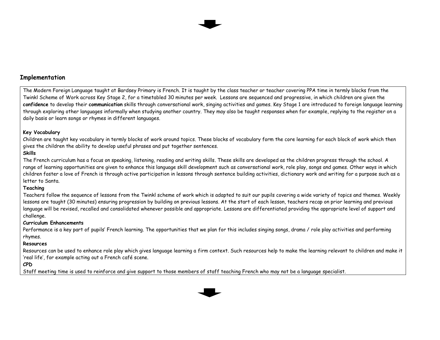

# **Implementation**

The Modern Foreign Language taught at Bardsey Primary is French. It is taught by the class teacher or teacher covering PPA time in termly blocks from the Twinkl Scheme of Work across Key Stage 2, for a timetabled 30 minutes per week. Lessons are sequenced and progressive, in which children are given the **confidence** to develop their **communication** skills through conversational work, singing activities and games. Key Stage 1 are introduced to foreign language learning through exploring other languages informally when studying another country. They may also be taught responses when for example, replying to the register on a daily basis or learn songs or rhymes in different languages.

#### **Key Vocabulary**

Children are taught key vocabulary in termly blocks of work around topics. These blocks of vocabulary form the core learning for each block of work which then gives the children the ability to develop useful phrases and put together sentences.

#### **Skills**

The French curriculum has a focus on speaking, listening, reading and writing skills. These skills are developed as the children progress through the school. A range of learning opportunities are given to enhance this language skill development such as conversational work, role play, songs and games. Other ways in which children foster a love of French is through active participation in lessons through sentence building activities, dictionary work and writing for a purpose such as a letter to Santa.

#### **Teaching**

Teachers follow the sequence of lessons from the Twinkl scheme of work which is adapted to suit our pupils covering a wide variety of topics and themes. Weekly lessons are taught (30 minutes) ensuring progression by building on previous lessons. At the start of each lesson, teachers recap on prior learning and previous language will be revised, recalled and consolidated whenever possible and appropriate. Lessons are differentiated providing the appropriate level of support and challenge.

#### **Curriculum Enhancements**

Performance is a key part of pupils' French learning. The opportunities that we plan for this includes singing songs, drama / role play activities and performing rhymes.

#### **Resources**

Resources can be used to enhance role play which gives language learning a firm context. Such resources help to make the learning relevant to children and make it 'real life', for example acting out a French café scene.

## **CPD**

Staff meeting time is used to reinforce and give support to those members of staff teaching French who may not be a language specialist.

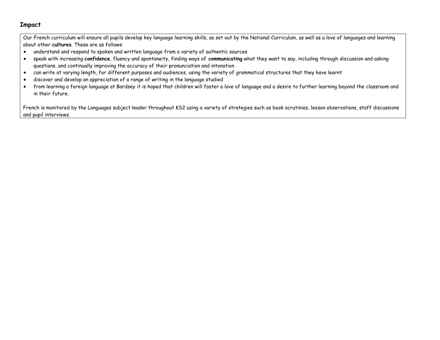# **Impact**

Our French curriculum will ensure all pupils develop key language learning skills, as set out by the National Curriculum, as well as a love of languages and learning about other **cultures**. These are as follows:

- understand and respond to spoken and written language from a variety of authentic sources
- speak with increasing **confidence**, fluency and spontaneity, finding ways of **communicating** what they want to say, including through discussion and asking questions, and continually improving the accuracy of their pronunciation and intonation
- can write at varying length, for different purposes and audiences, using the variety of grammatical structures that they have learnt
- discover and develop an appreciation of a range of writing in the language studied
- from learning a foreign language at Bardsey it is hoped that children will foster a love of language and a desire to further learning beyond the classroom and in their future.

French is monitored by the Languages subject leader throughout KS2 using a variety of strategies such as book scrutinies, lesson observations, staff discussions and pupil interviews.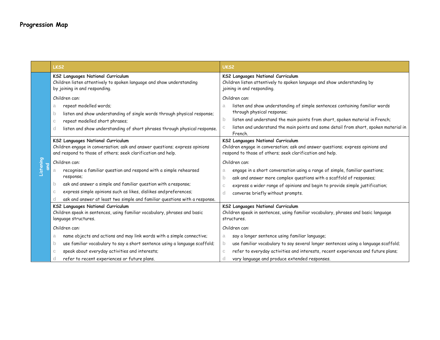|           | LKS <sub>2</sub>                                                                                                                                                                 | UK <sub>S2</sub>                                                                                                                                                                 |  |  |
|-----------|----------------------------------------------------------------------------------------------------------------------------------------------------------------------------------|----------------------------------------------------------------------------------------------------------------------------------------------------------------------------------|--|--|
|           | KS2 Languages National Curriculum<br>Children listen attentively to spoken language and show understanding<br>by joining in and responding.                                      | KS2 Languages National Curriculum<br>Children listen attentively to spoken language and show understanding by<br>joining in and responding.                                      |  |  |
|           | Children can:                                                                                                                                                                    | Children can:                                                                                                                                                                    |  |  |
|           | repeat modelled words;<br>a<br>listen and show understanding of single words through physical response;<br>$\mathsf{b}$                                                          | listen and show understanding of simple sentences containing familiar words<br>a<br>through physical response;                                                                   |  |  |
|           | repeat modelled short phrases;<br>C.                                                                                                                                             | listen and understand the main points from short, spoken material in French;<br>b                                                                                                |  |  |
|           | listen and show understanding of short phrases through physical response.<br>d                                                                                                   | listen and understand the main points and some detail from short, spoken material in<br>C<br>French.                                                                             |  |  |
|           | KS2 Languages National Curriculum<br>Children engage in conversation; ask and answer questions; express opinions<br>and respond to those of others; seek clarification and help. | KS2 Languages National Curriculum<br>Children engage in conversation; ask and answer questions; express opinions and<br>respond to those of others; seek clarification and help. |  |  |
|           | Children can:                                                                                                                                                                    | Children can:                                                                                                                                                                    |  |  |
| Listening | recognise a familiar question and respond with a simple rehearsed<br>a<br>response;                                                                                              | engage in a short conversation using a range of simple, familiar questions;<br>a<br>ask and answer more complex questions with a scaffold of responses;<br>$\mathsf{b}$          |  |  |
|           | ask and answer a simple and familiar question with a response;<br>$\mathsf{D}$                                                                                                   | express a wider range of opinions and begin to provide simple justification;<br>$\mathbb{C}$                                                                                     |  |  |
|           | express simple opinions such as likes, dislikes and preferences;<br>С                                                                                                            | converse briefly without prompts.<br>d                                                                                                                                           |  |  |
|           | ask and answer at least two simple and familiar questions with a response.<br>d                                                                                                  |                                                                                                                                                                                  |  |  |
|           | KS2 Languages National Curriculum<br>Children speak in sentences, using familiar vocabulary, phrases and basic<br>language structures.                                           | KS2 Languages National Curriculum<br>Children speak in sentences, using familiar vocabulary, phrases and basic language<br>structures.                                           |  |  |
|           | Children can:                                                                                                                                                                    | Children can:                                                                                                                                                                    |  |  |
|           | name objects and actions and may link words with a simple connective;<br>a                                                                                                       | say a longer sentence using familiar language;<br>a                                                                                                                              |  |  |
|           | use familiar vocabulary to say a short sentence using a language scaffold;<br>$\mathsf{b}$                                                                                       | use familiar vocabulary to say several longer sentences using a language scaffold;<br>$\mathbf{b}$                                                                               |  |  |
|           | speak about everyday activities and interests;<br>С                                                                                                                              | refer to everyday activities and interests, recent experiences and future plans;<br>$\mathbb{C}$                                                                                 |  |  |
|           | refer to recent experiences or future plans.<br>d                                                                                                                                | vary language and produce extended responses.<br><sub>c</sub>                                                                                                                    |  |  |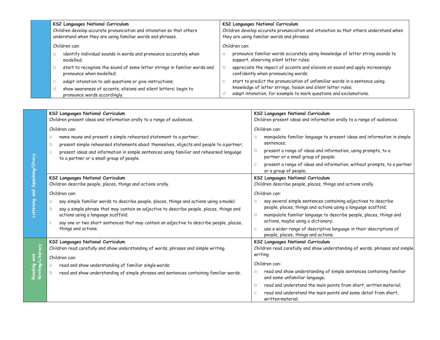|               | KS2 Languages National Curriculum<br>Children develop accurate pronunciation and intonation so that others<br>understand when they are using familiar words and phrases. | <b>KS2 Languages National Curriculum</b><br>Children develop accurate pronunciation and intonation so that others understand when<br>they are using familiar words and phrases. |  |  |
|---------------|--------------------------------------------------------------------------------------------------------------------------------------------------------------------------|---------------------------------------------------------------------------------------------------------------------------------------------------------------------------------|--|--|
| Children can: |                                                                                                                                                                          | Children can:                                                                                                                                                                   |  |  |
|               | identify individual sounds in words and pronounce accurately when<br>modelled:                                                                                           | pronounce familiar words accurately using knowledge of letter string sounds to<br>support, observing silent letter rules;                                                       |  |  |
|               | start to recognise the sound of some letter strings in familiar words and<br>pronounce when modelled;                                                                    | appreciate the impact of accents and elisions on sound and apply increasingly<br>confidently when pronouncing words;                                                            |  |  |
|               | adapt intonation to ask questions or give instructions;<br>v                                                                                                             | start to predict the pronunciation of unfamiliar words in a sentence using                                                                                                      |  |  |
|               | show awareness of accents, elisions and silent letters; begin to<br>pronounce words accordingly.                                                                         | knowledge of letter strings, liaison and silent letter rules;<br>adapt intonation, for example to mark questions and exclamations.                                              |  |  |

|                | KS2 Languages National Curriculum                                                                                                         | KS2 Languages National Curriculum                                                                                           |  |
|----------------|-------------------------------------------------------------------------------------------------------------------------------------------|-----------------------------------------------------------------------------------------------------------------------------|--|
|                | Children present ideas and information orally to a range of audiences.                                                                    | Children present ideas and information orally to a range of audiences.                                                      |  |
|                | Children can:                                                                                                                             | Children can:                                                                                                               |  |
|                | name nouns and present a simple rehearsed statement to a partner;<br>a.                                                                   | manipulate familiar language to present ideas and information in simple<br>a                                                |  |
|                | present simple rehearsed statements about themselves, objects and people to a partner;<br>b                                               | sentences:                                                                                                                  |  |
|                | present ideas and information in simple sentences using familiar and rehearsed language<br>C.<br>to a partner or a small group of people. | present a range of ideas and information, using prompts, to a<br>partner or a small group of people;                        |  |
| Speaking/Oracy |                                                                                                                                           | present a range of ideas and information, without prompts, to a partner<br>C<br>or a group of people.                       |  |
|                | KS2 Languages National Curriculum                                                                                                         | KS2 Languages National Curriculum                                                                                           |  |
|                | Children describe people, places, things and actions orally.                                                                              | Children describe people, places, things and actions orally.                                                                |  |
| $\overline{a}$ | Children can:                                                                                                                             | Children can:                                                                                                               |  |
| Listening      | say simple familiar words to describe people, places, things and actions using a model;<br>a                                              | say several simple sentences containing adjectives to describe<br>a                                                         |  |
|                | say a simple phrase that may contain an adjective to describe people, places, things and                                                  | people, places, things and actions using a language scaffold;                                                               |  |
|                | actions using a language scaffold;                                                                                                        | manipulate familiar language to describe people, places, things and<br>$\overline{a}$<br>actions, maybe using a dictionary; |  |
|                | say one or two short sentences that may contain an adjective to describe people, places,<br>things and actions.                           | use a wider range of descriptive language in their descriptions of<br>$\mathbb{C}$<br>people, places, things and actions.   |  |
|                | KS2 Languages National Curriculum                                                                                                         | KS2 Languages National Curriculum                                                                                           |  |
|                | Children read carefully and show understanding of words, phrases and simple writing.                                                      | Children read carefully and show understanding of words, phrases and simple                                                 |  |
| late<br>Lite   | Children can:                                                                                                                             | writing.                                                                                                                    |  |
| ဥ              | read and show understanding of familiar single words;                                                                                     | Children can:                                                                                                               |  |
| Reading and    | read and show understanding of simple phrases and sentences containing familiar words.                                                    | read and show understanding of simple sentences containing familiar<br>and some unfamiliar language;                        |  |
|                |                                                                                                                                           | read and understand the main points from short, written material;<br>b                                                      |  |
|                |                                                                                                                                           | read and understand the main points and some detail from short,<br>C<br>written material.                                   |  |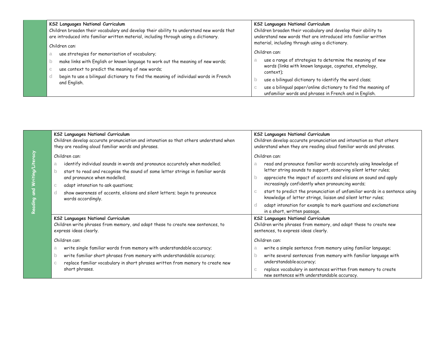| KS2 Languages National Curriculum<br>Children broaden their vocabulary and develop their ability to understand new words that<br>are introduced into familiar written material, including through using a dictionary. | <b>KS2 Languages National Curriculum</b><br>Children broaden their vocabulary and develop their ability to<br>understand new words that are introduced into familiar written |  |
|-----------------------------------------------------------------------------------------------------------------------------------------------------------------------------------------------------------------------|------------------------------------------------------------------------------------------------------------------------------------------------------------------------------|--|
| Children can:                                                                                                                                                                                                         | material, including through using a dictionary.                                                                                                                              |  |
| use strategies for memorisation of vocabulary;<br>a                                                                                                                                                                   | Children can:                                                                                                                                                                |  |
| make links with English or known language to work out the meaning of new words;<br>$\mathsf{D}$                                                                                                                       | use a range of strategies to determine the meaning of new<br>words (links with known language, cognates, etymology,                                                          |  |
| use context to predict the meaning of new words;<br>С                                                                                                                                                                 | context);                                                                                                                                                                    |  |
| begin to use a bilingual dictionary to find the meaning of individual words in French<br>d<br>and English.                                                                                                            | use a bilingual dictionary to identify the word class;                                                                                                                       |  |
|                                                                                                                                                                                                                       | use a bilingual paper/online dictionary to find the meaning of                                                                                                               |  |
|                                                                                                                                                                                                                       | unfamiliar words and phrases in French and in English.                                                                                                                       |  |

| <b>KS2 Languages National Curriculum</b>                                                                                                                                                                                                                                                                                                                                                                      | <b>KS2 Languages National Curriculum</b>                                                                                                                                                                                                                                                                                                                                                                                                                                                                                                                     |
|---------------------------------------------------------------------------------------------------------------------------------------------------------------------------------------------------------------------------------------------------------------------------------------------------------------------------------------------------------------------------------------------------------------|--------------------------------------------------------------------------------------------------------------------------------------------------------------------------------------------------------------------------------------------------------------------------------------------------------------------------------------------------------------------------------------------------------------------------------------------------------------------------------------------------------------------------------------------------------------|
| Children develop accurate pronunciation and intonation so that others understand when                                                                                                                                                                                                                                                                                                                         | Children develop accurate pronunciation and intonation so that others                                                                                                                                                                                                                                                                                                                                                                                                                                                                                        |
| they are reading aloud familiar words and phrases.                                                                                                                                                                                                                                                                                                                                                            | understand when they are reading aloud familiar words and phrases.                                                                                                                                                                                                                                                                                                                                                                                                                                                                                           |
| Children can:<br>identify individual sounds in words and pronounce accurately when modelled;<br>a<br>start to read and recognise the sound of some letter strings in familiar words<br>$\mathsf{b}$<br>and pronounce when modelled;<br>adapt intonation to ask questions;<br>$\mathbb{C}$<br>show awareness of accents, elisions and silent letters; begin to pronounce<br><sub>c</sub><br>words accordingly. | Children can:<br>read and pronounce familiar words accurately using knowledge of<br>a<br>letter string sounds to support, observing silent letter rules;<br>appreciate the impact of accents and elisions on sound and apply<br>b<br>increasingly confidently when pronouncing words;<br>start to predict the pronunciation of unfamiliar words in a sentence using<br>$\mathbb{C}$<br>knowledge of letter strings, liaison and silent letter rules;<br>adapt intonation for example to mark questions and exclamations<br>d<br>in a short, written passage. |
| KS2 Languages National Curriculum                                                                                                                                                                                                                                                                                                                                                                             | KS2 Languages National Curriculum                                                                                                                                                                                                                                                                                                                                                                                                                                                                                                                            |
| Children write phrases from memory, and adapt these to create new sentences, to                                                                                                                                                                                                                                                                                                                               | Children write phrases from memory, and adapt these to create new                                                                                                                                                                                                                                                                                                                                                                                                                                                                                            |
| express ideas clearly.                                                                                                                                                                                                                                                                                                                                                                                        | sentences, to express ideas clearly.                                                                                                                                                                                                                                                                                                                                                                                                                                                                                                                         |
| Children can:<br>write single familiar words from memory with understandable accuracy;<br>a<br>write familiar short phrases from memory with understandable accuracy;<br>$\mathsf{D}$<br>replace familiar vocabulary in short phrases written from memory to create new<br>$\mathbb{C}$<br>short phrases.                                                                                                     | Children can:<br>write a simple sentence from memory using familiar language;<br>a<br>write several sentences from memory with familiar language with<br>b<br>understandable accuracy;<br>replace vocabulary in sentences written from memory to create<br>$\mathbb{C}$<br>new sentences with understandable accuracy.                                                                                                                                                                                                                                       |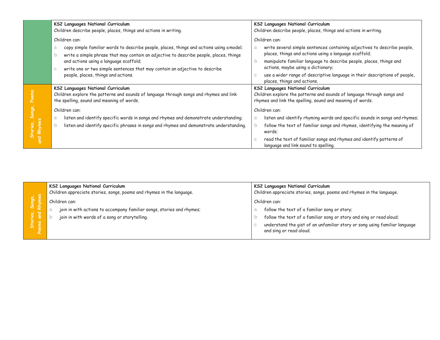|           | <b>KS2 Languages National Curriculum</b><br>Children describe people, places, things and actions in writing.                                                                                                                                  | <b>KS2 Languages National Curriculum</b><br>Children describe people, places, things and actions in writing.                                                                                                              |  |
|-----------|-----------------------------------------------------------------------------------------------------------------------------------------------------------------------------------------------------------------------------------------------|---------------------------------------------------------------------------------------------------------------------------------------------------------------------------------------------------------------------------|--|
|           | Children can:<br>copy simple familiar words to describe people, places, things and actions using a model;<br>write a simple phrase that may contain an adjective to describe people, places, things<br>and actions using a language scaffold; | Children can:<br>write several simple sentences containing adjectives to describe people,<br>places, things and actions using a language scaffold;<br>manipulate familiar language to describe people, places, things and |  |
|           | write one or two simple sentences that may contain an adjective to describe<br>people, places, things and actions.                                                                                                                            | actions, maybe using a dictionary;<br>use a wider range of descriptive language in their descriptions of people,<br>places, things and actions.                                                                           |  |
|           | <b>KS2 Languages National Curriculum</b><br>Children explore the patterns and sounds of language through songs and rhymes and link<br>the spelling, sound and meaning of words.                                                               | KS2 Languages National Curriculum<br>Children explore the patterns and sounds of language through songs and<br>rhymes and link the spelling, sound and meaning of words.                                                  |  |
|           | Children can:                                                                                                                                                                                                                                 | Children can:                                                                                                                                                                                                             |  |
| and Rhyme | listen and identify specific words in songs and rhymes and demonstrate understanding;<br>a<br>listen and identify specific phrases in songs and rhymes and demonstrate understanding.                                                         | listen and identify rhyming words and specific sounds in songs and rhymes;<br>follow the text of familiar songs and rhymes, identifying the meaning of<br>words;                                                          |  |
|           |                                                                                                                                                                                                                                               | read the text of familiar songs and rhymes and identify patterns of<br>language and link sound to spelling.                                                                                                               |  |

|                                          | KS2 Languages National Curriculum<br>Children appreciate stories, songs, poems and rhymes in the language.                              | KS2 Languages National Curriculum<br>Children appreciate stories, songs, poems and rhymes in the language.                                                                                                                                    |
|------------------------------------------|-----------------------------------------------------------------------------------------------------------------------------------------|-----------------------------------------------------------------------------------------------------------------------------------------------------------------------------------------------------------------------------------------------|
| ဖွ နို<br>$\sum_{i=1}^{n}$<br>।<br>स्रोत | Children can:<br>join in with actions to accompany familiar songs, stories and rhymes;<br>join in with words of a song or storytelling. | Children can:<br>follow the text of a familiar song or story;<br>follow the text of a familiar song or story and sing or read aloud;<br>understand the gist of an unfamiliar story or song using familiar language<br>and sing or read aloud. |